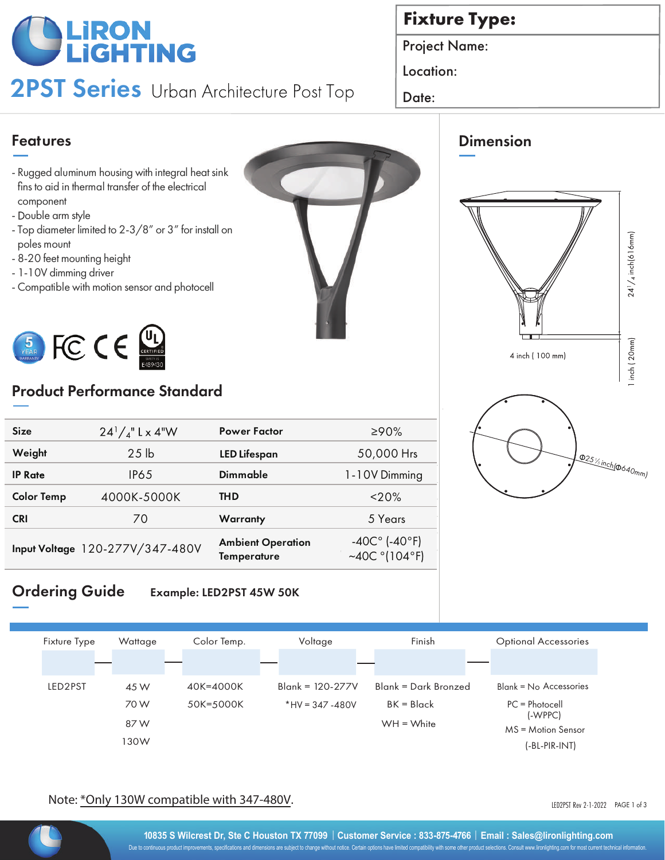# **OLIRON**<br>**LIGHTING**

2PST Series Urban Architecture Post Top | Date:

## **Fixture Type:**

Dimension

Project Name:

Location:

### Features

- Rugged aluminum housing with integral heat sink fins to aid in thermal transfer of the electrical component
- Double arm style
- Top diameter limited to 2-3/8" or 3" for install on poles mount
- 8-20 feet mounting height
- 1-10V dimming driver
- Compatible with motion sensor and photocell



## Product Performance Standard

| $24^{1}/_{4}$ " L x 4"W         | <b>Power Factor</b>                            | ≥90%                                                         |
|---------------------------------|------------------------------------------------|--------------------------------------------------------------|
| 25 <sub>1b</sub>                | <b>LED Lifespan</b>                            | 50,000 Hrs                                                   |
| IP65                            | <b>Dimmable</b>                                | 1-10V Dimming                                                |
| 4000K-5000K                     | <b>THD</b>                                     | $<$ 20%                                                      |
| 70                              | Warranty                                       | 5 Years                                                      |
| Input Voltage 120-277V/347-480V | <b>Ambient Operation</b><br><b>Temperature</b> | $-40C^{\circ}$ (-40°F)<br>~40C $^{\circ}$ (104 $^{\circ}$ F) |
|                                 |                                                |                                                              |

#### Ordering Guide Example: LED2PST 45W 50K



#### Note: \*Only 130W compatible with 347-480V.

LED2PST Rev 2-1-2022 PAGE 1 of 3



25% inch( $\phi_{640}$ mm)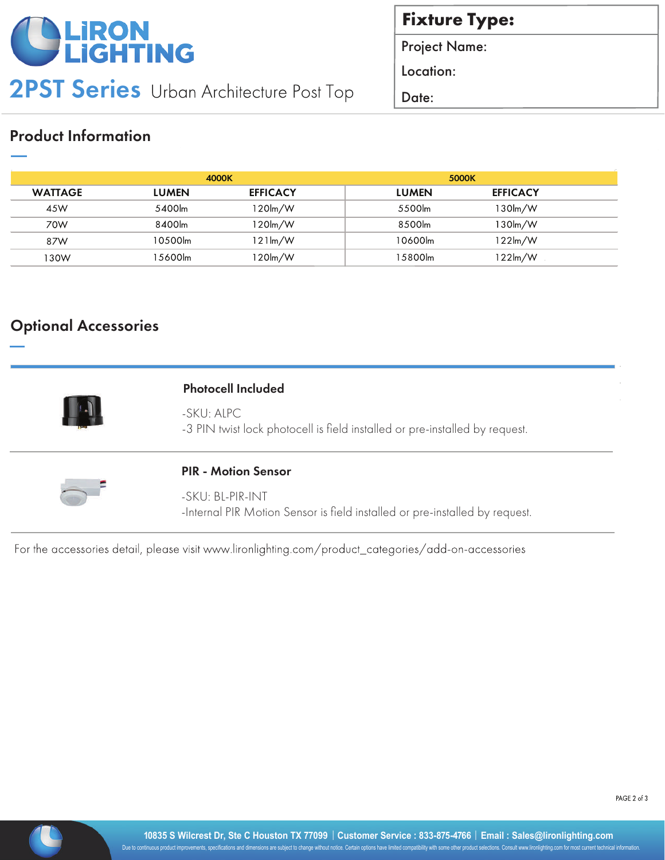

2PST Series Urban Architecture Post Top | Date:

**Fixture Type:** 

Project Name:

Location:

### Product Information

|                | 4000K        |                 | 5000K        |                   |  |
|----------------|--------------|-----------------|--------------|-------------------|--|
| <b>WATTAGE</b> | <b>LUMEN</b> | <b>EFFICACY</b> | <b>LUMEN</b> | <b>EFFICACY</b>   |  |
| 45W            | 5400lm       | 120lm/W         | 5500lm       | 130lm/W           |  |
| 70W            | 8400lm       | 120lm/W         | 8500lm       | $130$ lm/W        |  |
| 87W            | 10500lm      | 121lm/W         | 10600lm      | 122lm/W           |  |
| 130W           | l 5600lm     | 120lm/W         | 15800lm      | $122 \text{lm/W}$ |  |

#### Optional Accessories

| ÷<br>٠      |        |
|-------------|--------|
|             |        |
| ×<br>I      |        |
| ٠<br>ř<br>W | ż<br>× |

#### Photocell Included

-SKU: ALPC -3 PIN twist lock photocell is field installed or pre-installed by request.



#### PIR - Motion Sensor

-SKU: BL-PIR-INT -Internal PIR Motion Sensor is field installed or pre-installed by request.

For the accessories detail, please visit www.lironlighting.com/product\_categories/add-on-accessories